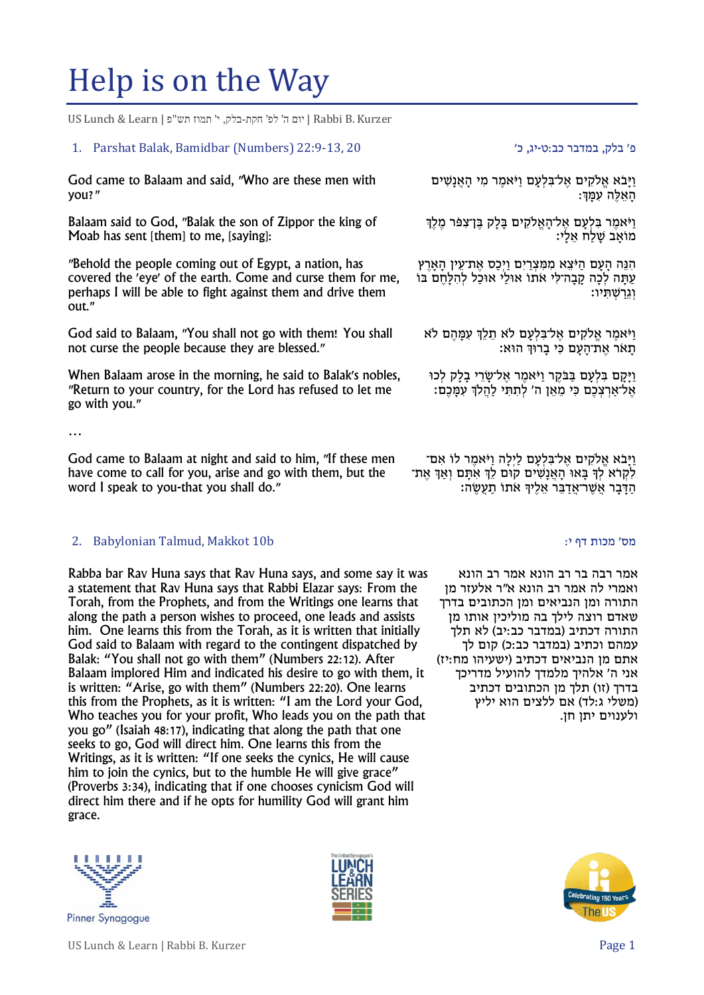# Help is on the Way

Kurzer .B Rabbi | יום ה' לפ' חקת-בלק, י' תמוז תש"פ | Learn & Lunch US

### פ' בלק, במדבר כב:ט-יג, כ' 20 22:9-13, 20 22:9-13, 20 22:9-13, 1. Parshat Balak, Bamidbar (Numbers)

God came to Balaam and said, "Who are these men with you?"

Balaam said to God, "Balak the son of Zippor the king of Moab has sent [them] to me, [saying]:

"Behold the people coming out of Egypt, a nation, has covered the 'eye' of the earth. Come and curse them for me, perhaps I will be able to fight against them and drive them out."

God said to Balaam, "You shall not go with them! You shall not curse the people because they are blessed."

When Balaam arose in the morning, he said to Balak's nobles, "Return to your country, for the Lord has refused to let me go with you."

…

God came to Balaam at night and said to him, "If these men have come to call for you, arise and go with them, but the word I speak to you-that you shall do."

# מס' מכות דף י: b10 Makkot 10 Makkot 10 Makkot 10 Makkot  $\cdot$  b10 Makkot 10  $\cdot$  b10 Makkot 10 Makkot 10 Makkot 10 Makkot 10 Makkot 10 Makkot 10 Makkot 10 Makkot 10 Makkot 10 Makkot 10 Makkot 10 Makkot 10 Makkot 10 Makkot

Rabba bar Rav Huna says that Rav Huna says, and some say it was a statement that Rav Huna says that Rabbi Elazar says: From the Torah, from the Prophets, and from the Writings one learns that along the path a person wishes to proceed, one leads and assists him. One learns this from the Torah, as it is written that initially God said to Balaam with regard to the contingent dispatched by Balak: "You shall not go with them" (Numbers 22:12). After Balaam implored Him and indicated his desire to go with them, it is written: "Arise, go with them" (Numbers 22:20). One learns this from the Prophets, as it is written: "I am the Lord your God, Who teaches you for your profit, Who leads you on the path that you go" (Isaiah 48:17), indicating that along the path that one seeks to go, God will direct him. One learns this from the Writings, as it is written: "If one seeks the cynics, He will cause him to join the cynics, but to the humble He will give grace" (Proverbs 3:34), indicating that if one chooses cynicism God will direct him there and if he opts for humility God will grant him grace.





וַיָּבֹא אֱלֹקִים אֱל־בִּלְעָם וַיֹּאמֶר מִי הַאֲנַשִׁים ָהָאַלָּה עַמֵּה

וַיֹּאמֶר בִּלְעָם אֶל־הָאֱלֹקִים בָּלָק בֶּן־צִפּֿר מֶלֶךְ ָמוֹאַב שָׁלַח אֵלָי:

הְּנֵּה הַעָּם הַיּּצֵא מִמִּצְרַיִם וַיִּכַּס אֵת־עֵין הַאַרֵץ עתּה לכה קבה־לי אתוֹ אוּלי אוּכל להלחם בּוֹ וגרשתיו:

ויֹאמר אלקים אל־בלעם לֹא תִלךְ עִמֵּהֶם לֹא תָּ אֹר אֶ ת־הָּ עָּ ם כ י בָּ רּוְך הּוא׃

וַיַּקָם בִּלְעָם בַּבֹּקֶר וַיֹּאמֶר אֶל־שֶׂרֵי בַלָק לְכוּ אֶל־אַרְצְכֶם כִּי מֵאֶן ה' לְתַתֵּי לַהֲלֹךְ עָמַּכֶם:

וַיָּבֹא אֱלֹקִים אֱל־בִּלְעָם לַיְלָה וַיֹּאמֶר לוֹ אָם־ לקרֹא לִךְ בֵּאוּ הָאנִשׁים קוּם לִךְ אִתָּם וֹאִךְ אִת־ הַ דְּבֵר אַשָׁר־אַדִּבֵּר אַלִידְ אַתוֹ תַעָשָׂה

אמר רבה בר רב הונא אמר רב הונא ואמרי לה אמר רב הונא א"ר אלעזר מן התורה ומן הנביאים ומן הכתובים בדרך שאדם רוצה לילך בה מוליכין אותו מן התורה דכתיב (במדבר כב:יב) לא תלך עמהם וכתיב (במדבר כב:כ) קום לך אתם מן הנביאים דכתיב )ישעיהו מח:יז( אני ה' אלהיך מלמדך להועיל מדריכך בדרך (זו) תלך מן הכתובים דכתיב (משלי ג:לד) אם ללצים הוא יליץ ולענוים יתן חן.